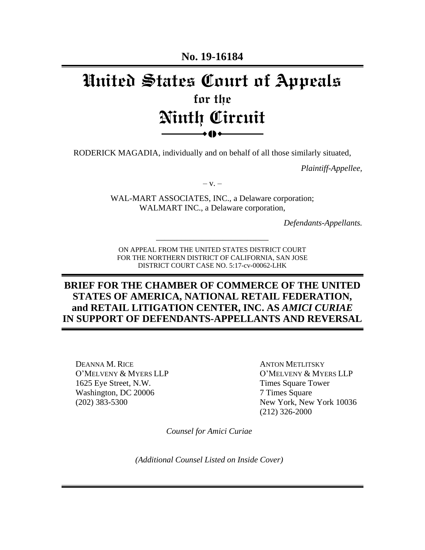**No. 19-16184**

# **United States Court of Appeals for the Ninth Circuit**  $\bullet$  ()  $\bullet$

RODERICK MAGADIA, individually and on behalf of all those similarly situated,

*Plaintiff-Appellee,*

 $-V. -$ 

WAL-MART ASSOCIATES, INC., a Delaware corporation; WALMART INC., a Delaware corporation,

*Defendants-Appellants.*

ON APPEAL FROM THE UNITED STATES DISTRICT COURT FOR THE NORTHERN DISTRICT OF CALIFORNIA, SAN JOSE DISTRICT COURT CASE NO. 5:17-cv-00062-LHK

\_\_\_\_\_\_\_\_\_\_\_\_\_\_\_\_\_\_\_\_\_\_\_\_\_\_\_

## **BRIEF FOR THE CHAMBER OF COMMERCE OF THE UNITED STATES OF AMERICA, NATIONAL RETAIL FEDERATION, and RETAIL LITIGATION CENTER, INC. AS** *AMICI CURIAE*  **IN SUPPORT OF DEFENDANTS-APPELLANTS AND REVERSAL**

DEANNA M. RICE O'MELVENY & MYERS LLP 1625 Eye Street, N.W. Washington, DC 20006 (202) 383-5300

ANTON METLITSKY O'MELVENY & MYERS LLP Times Square Tower 7 Times Square New York, New York 10036 (212) 326-2000

*Counsel for Amici Curiae*

*(Additional Counsel Listed on Inside Cover)*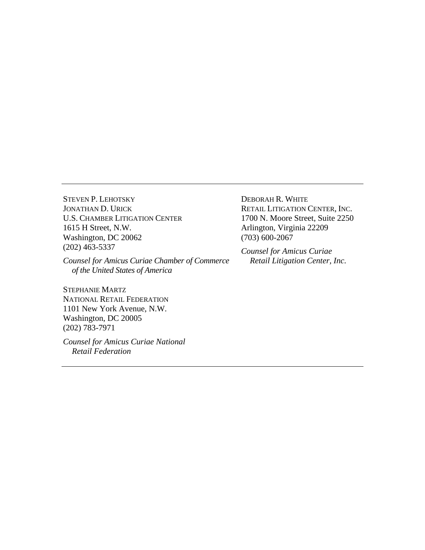STEVEN P. LEHOTSKY JONATHAN D. URICK U.S. CHAMBER LITIGATION CENTER 1615 H Street, N.W. Washington, DC 20062 (202) 463-5337

*Counsel for Amicus Curiae Chamber of Commerce of the United States of America*

STEPHANIE MARTZ NATIONAL RETAIL FEDERATION 1101 New York Avenue, N.W. Washington, DC 20005 (202) 783-7971

*Counsel for Amicus Curiae National Retail Federation*

DEBORAH R. WHITE RETAIL LITIGATION CENTER, INC. 1700 N. Moore Street, Suite 2250 Arlington, Virginia 22209 (703) 600-2067

*Counsel for Amicus Curiae Retail Litigation Center, Inc.*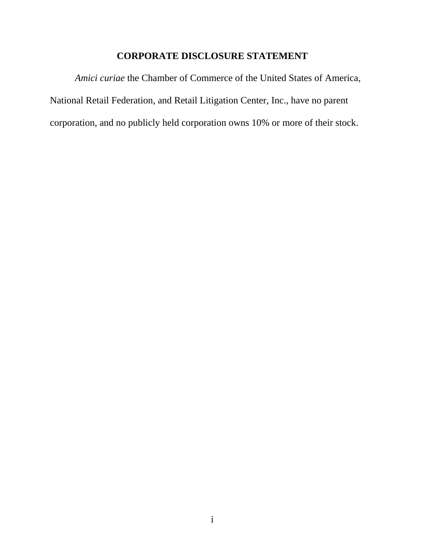## **CORPORATE DISCLOSURE STATEMENT**

*Amici curiae* the Chamber of Commerce of the United States of America, National Retail Federation, and Retail Litigation Center, Inc., have no parent corporation, and no publicly held corporation owns 10% or more of their stock.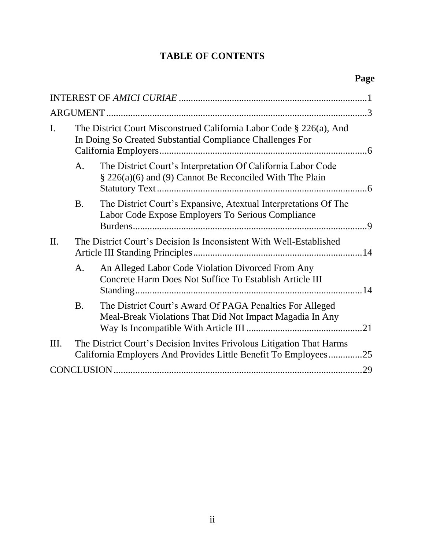# **TABLE OF CONTENTS**

| I. | The District Court Misconstrued California Labor Code § 226(a), And<br>In Doing So Created Substantial Compliance Challenges For |                                                                                                                                        |     |
|----|----------------------------------------------------------------------------------------------------------------------------------|----------------------------------------------------------------------------------------------------------------------------------------|-----|
|    | A.                                                                                                                               | The District Court's Interpretation Of California Labor Code<br>§ 226(a)(6) and (9) Cannot Be Reconciled With The Plain                |     |
|    | <b>B.</b>                                                                                                                        | The District Court's Expansive, Atextual Interpretations Of The<br>Labor Code Expose Employers To Serious Compliance                   |     |
| Π. | The District Court's Decision Is Inconsistent With Well-Established                                                              |                                                                                                                                        |     |
|    | A.                                                                                                                               | An Alleged Labor Code Violation Divorced From Any<br>Concrete Harm Does Not Suffice To Establish Article III                           |     |
|    | <b>B.</b>                                                                                                                        | The District Court's Award Of PAGA Penalties For Alleged<br>Meal-Break Violations That Did Not Impact Magadia In Any                   | .21 |
| Ш. |                                                                                                                                  | The District Court's Decision Invites Frivolous Litigation That Harms<br>California Employers And Provides Little Benefit To Employees | .25 |
|    |                                                                                                                                  |                                                                                                                                        | .29 |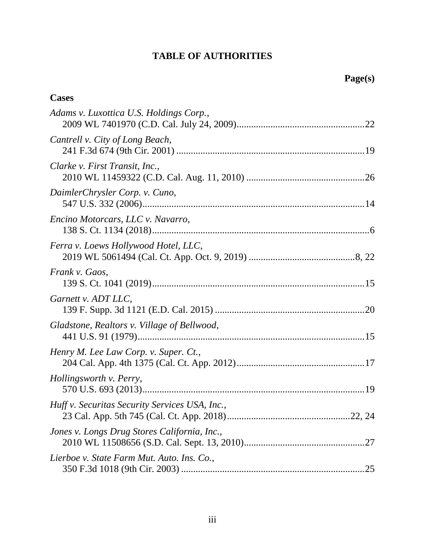## **TABLE OF AUTHORITIES**

| <b>Cases</b>                                   |
|------------------------------------------------|
| Adams v. Luxottica U.S. Holdings Corp.,        |
| Cantrell v. City of Long Beach,                |
| Clarke v. First Transit, Inc.,                 |
| DaimlerChrysler Corp. v. Cuno,                 |
| Encino Motorcars, LLC v. Navarro,              |
| Ferra v. Loews Hollywood Hotel, LLC,           |
| Frank v. Gaos,                                 |
| Garnett v. ADT LLC,                            |
| Gladstone, Realtors v. Village of Bellwood,    |
| Henry M. Lee Law Corp. v. Super. Ct.,          |
| Hollingsworth v. Perry,                        |
| Huff v. Securitas Security Services USA, Inc., |
| Jones v. Longs Drug Stores California, Inc.,   |
| Lierboe v. State Farm Mut. Auto. Ins. Co.,     |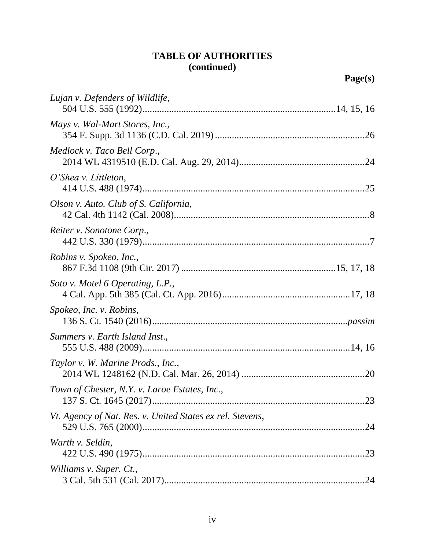# **TABLE OF AUTHORITIES (continued)**

| Lujan v. Defenders of Wildlife,                                  |
|------------------------------------------------------------------|
| Mays v. Wal-Mart Stores, Inc.,                                   |
| Medlock v. Taco Bell Corp.,                                      |
| O'Shea v. Littleton,                                             |
| Olson v. Auto. Club of S. California,                            |
| Reiter v. Sonotone Corp.,                                        |
| Robins v. Spokeo, Inc.,                                          |
| Soto v. Motel 6 Operating, L.P.,                                 |
| Spokeo, Inc. v. Robins,                                          |
| Summers v. Earth Island Inst.,                                   |
| Taylor v. W. Marine Prods., Inc.,                                |
| Town of Chester, N.Y. v. Laroe Estates, Inc.,                    |
| Vt. Agency of Nat. Res. v. United States ex rel. Stevens,<br>.24 |
| Warth v. Seldin,<br>.23                                          |
| Williams v. Super. Ct.,                                          |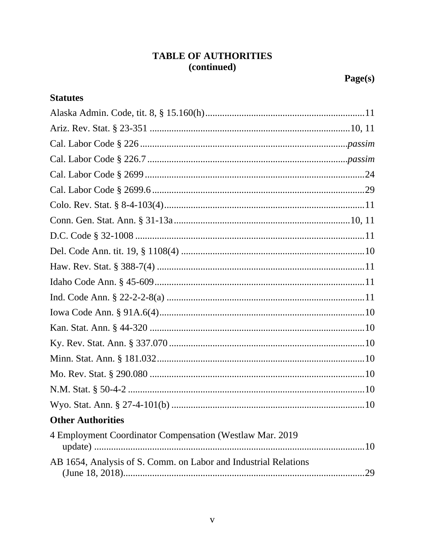# **TABLE OF AUTHORITIES** (continued)

## **Statutes**

| <b>Other Authorities</b>                                        |  |
|-----------------------------------------------------------------|--|
| 4 Employment Coordinator Compensation (Westlaw Mar. 2019        |  |
| AB 1654, Analysis of S. Comm. on Labor and Industrial Relations |  |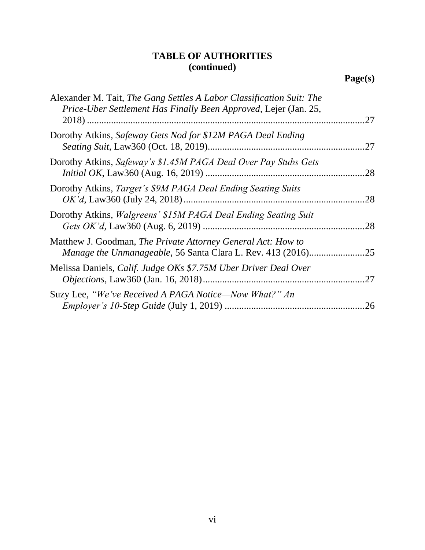# **TABLE OF AUTHORITIES (continued)**

| Alexander M. Tait, The Gang Settles A Labor Classification Suit: The<br>Price-Uber Settlement Has Finally Been Approved, Lejer (Jan. 25, | .27 |
|------------------------------------------------------------------------------------------------------------------------------------------|-----|
| Dorothy Atkins, Safeway Gets Nod for \$12M PAGA Deal Ending                                                                              | 27  |
| Dorothy Atkins, Safeway's \$1.45M PAGA Deal Over Pay Stubs Gets                                                                          | .28 |
| Dorothy Atkins, Target's \$9M PAGA Deal Ending Seating Suits                                                                             | .28 |
| Dorothy Atkins, <i>Walgreens' \$15M PAGA Deal Ending Seating Suit</i>                                                                    | .28 |
| Matthew J. Goodman, The Private Attorney General Act: How to<br><i>Manage the Unmanageable, 56 Santa Clara L. Rev. 413 (2016)</i>        | 25  |
| Melissa Daniels, Calif. Judge OKs \$7.75M Uber Driver Deal Over                                                                          | .27 |
| Suzy Lee, "We've Received A PAGA Notice—Now What?" An                                                                                    | 26  |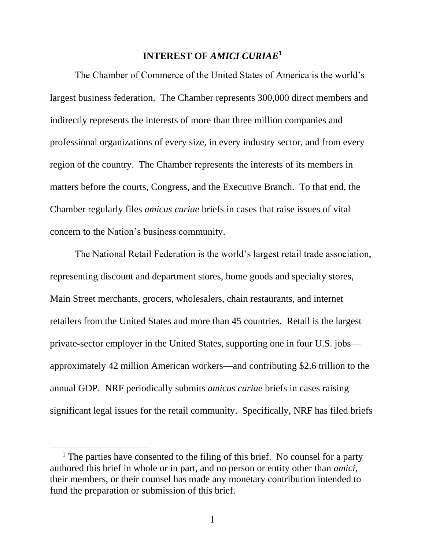#### **INTEREST OF** *AMICI CURIAE***<sup>1</sup>**

<span id="page-8-0"></span>The Chamber of Commerce of the United States of America is the world's largest business federation. The Chamber represents 300,000 direct members and indirectly represents the interests of more than three million companies and professional organizations of every size, in every industry sector, and from every region of the country. The Chamber represents the interests of its members in matters before the courts, Congress, and the Executive Branch. To that end, the Chamber regularly files *amicus curiae* briefs in cases that raise issues of vital concern to the Nation's business community.

The National Retail Federation is the world's largest retail trade association, representing discount and department stores, home goods and specialty stores, Main Street merchants, grocers, wholesalers, chain restaurants, and internet retailers from the United States and more than 45 countries. Retail is the largest private-sector employer in the United States, supporting one in four U.S. jobs approximately 42 million American workers—and contributing \$2.6 trillion to the annual GDP. NRF periodically submits *amicus curiae* briefs in cases raising significant legal issues for the retail community. Specifically, NRF has filed briefs

<sup>&</sup>lt;sup>1</sup> The parties have consented to the filing of this brief. No counsel for a party authored this brief in whole or in part, and no person or entity other than *amici*, their members, or their counsel has made any monetary contribution intended to fund the preparation or submission of this brief.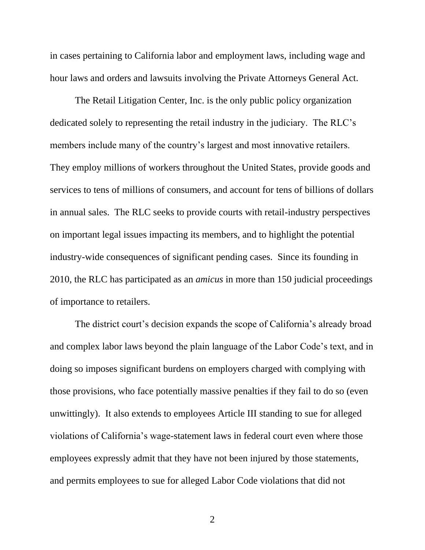in cases pertaining to California labor and employment laws, including wage and hour laws and orders and lawsuits involving the Private Attorneys General Act.

The Retail Litigation Center, Inc. is the only public policy organization dedicated solely to representing the retail industry in the judiciary. The RLC's members include many of the country's largest and most innovative retailers. They employ millions of workers throughout the United States, provide goods and services to tens of millions of consumers, and account for tens of billions of dollars in annual sales. The RLC seeks to provide courts with retail-industry perspectives on important legal issues impacting its members, and to highlight the potential industry-wide consequences of significant pending cases. Since its founding in 2010, the RLC has participated as an *amicus* in more than 150 judicial proceedings of importance to retailers.

The district court's decision expands the scope of California's already broad and complex labor laws beyond the plain language of the Labor Code's text, and in doing so imposes significant burdens on employers charged with complying with those provisions, who face potentially massive penalties if they fail to do so (even unwittingly). It also extends to employees Article III standing to sue for alleged violations of California's wage-statement laws in federal court even where those employees expressly admit that they have not been injured by those statements, and permits employees to sue for alleged Labor Code violations that did not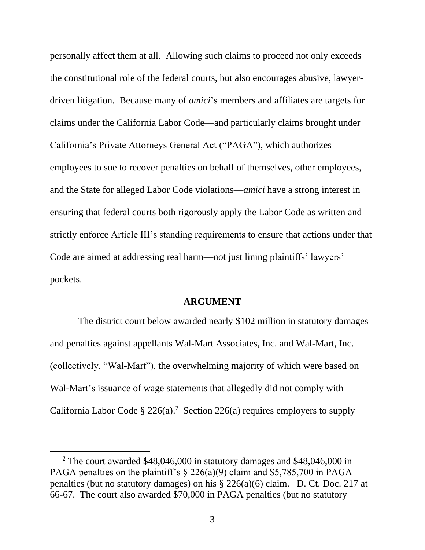personally affect them at all. Allowing such claims to proceed not only exceeds the constitutional role of the federal courts, but also encourages abusive, lawyerdriven litigation. Because many of *amici*'s members and affiliates are targets for claims under the California Labor Code—and particularly claims brought under California's Private Attorneys General Act ("PAGA"), which authorizes employees to sue to recover penalties on behalf of themselves, other employees, and the State for alleged Labor Code violations—*amici* have a strong interest in ensuring that federal courts both rigorously apply the Labor Code as written and strictly enforce Article III's standing requirements to ensure that actions under that Code are aimed at addressing real harm—not just lining plaintiffs' lawyers' pockets.

#### **ARGUMENT**

<span id="page-10-0"></span>The district court below awarded nearly \$102 million in statutory damages and penalties against appellants Wal-Mart Associates, Inc. and Wal-Mart, Inc. (collectively, "Wal-Mart"), the overwhelming majority of which were based on Wal-Mart's issuance of wage statements that allegedly did not comply with California Labor Code  $\S 226(a)$ .<sup>2</sup> Section 226(a) requires employers to supply

<sup>2</sup> The court awarded \$48,046,000 in statutory damages and \$48,046,000 in PAGA penalties on the plaintiff's  $\S 226(a)(9)$  claim and \$5,785,700 in PAGA penalties (but no statutory damages) on his § 226(a)(6) claim. D. Ct. Doc. 217 at 66-67. The court also awarded \$70,000 in PAGA penalties (but no statutory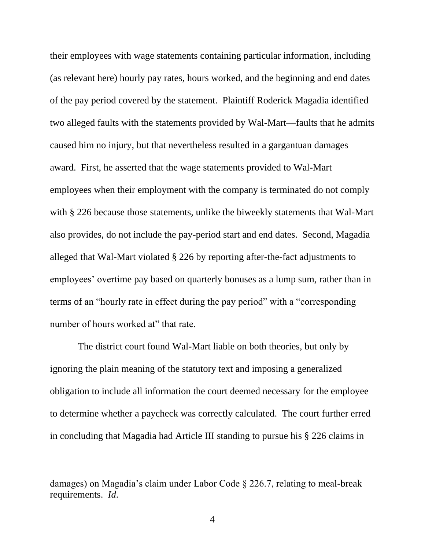their employees with wage statements containing particular information, including (as relevant here) hourly pay rates, hours worked, and the beginning and end dates of the pay period covered by the statement. Plaintiff Roderick Magadia identified two alleged faults with the statements provided by Wal-Mart—faults that he admits caused him no injury, but that nevertheless resulted in a gargantuan damages award. First, he asserted that the wage statements provided to Wal-Mart employees when their employment with the company is terminated do not comply with § 226 because those statements, unlike the biweekly statements that Wal-Mart also provides, do not include the pay-period start and end dates. Second, Magadia alleged that Wal-Mart violated § 226 by reporting after-the-fact adjustments to employees' overtime pay based on quarterly bonuses as a lump sum, rather than in terms of an "hourly rate in effect during the pay period" with a "corresponding number of hours worked at" that rate.

<span id="page-11-0"></span>The district court found Wal-Mart liable on both theories, but only by ignoring the plain meaning of the statutory text and imposing a generalized obligation to include all information the court deemed necessary for the employee to determine whether a paycheck was correctly calculated. The court further erred in concluding that Magadia had Article III standing to pursue his § 226 claims in

<span id="page-11-1"></span>damages) on Magadia's claim under Labor Code § 226.7, relating to meal-break requirements. *Id*.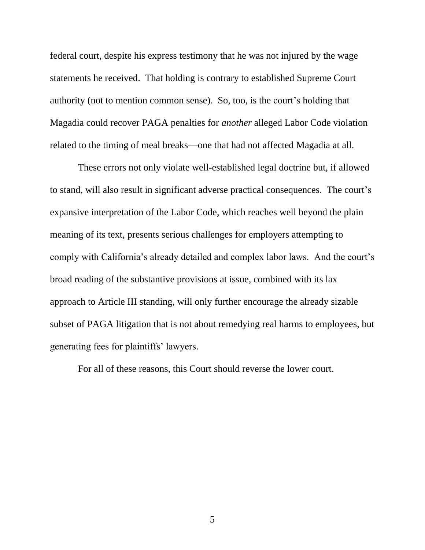federal court, despite his express testimony that he was not injured by the wage statements he received. That holding is contrary to established Supreme Court authority (not to mention common sense). So, too, is the court's holding that Magadia could recover PAGA penalties for *another* alleged Labor Code violation related to the timing of meal breaks—one that had not affected Magadia at all.

These errors not only violate well-established legal doctrine but, if allowed to stand, will also result in significant adverse practical consequences. The court's expansive interpretation of the Labor Code, which reaches well beyond the plain meaning of its text, presents serious challenges for employers attempting to comply with California's already detailed and complex labor laws. And the court's broad reading of the substantive provisions at issue, combined with its lax approach to Article III standing, will only further encourage the already sizable subset of PAGA litigation that is not about remedying real harms to employees, but generating fees for plaintiffs' lawyers.

For all of these reasons, this Court should reverse the lower court.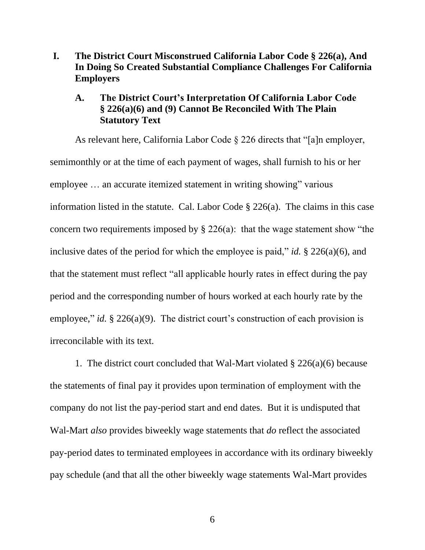<span id="page-13-0"></span>**I. The District Court Misconstrued California Labor Code § 226(a), And In Doing So Created Substantial Compliance Challenges For California Employers**

#### <span id="page-13-1"></span>**A. The District Court's Interpretation Of California Labor Code § 226(a)(6) and (9) Cannot Be Reconciled With The Plain Statutory Text**

As relevant here, California Labor Code § 226 directs that "[a]n employer, semimonthly or at the time of each payment of wages, shall furnish to his or her employee … an accurate itemized statement in writing showing" various information listed in the statute. Cal. Labor Code § 226(a). The claims in this case concern two requirements imposed by § 226(a): that the wage statement show "the inclusive dates of the period for which the employee is paid," *id.* § 226(a)(6), and that the statement must reflect "all applicable hourly rates in effect during the pay period and the corresponding number of hours worked at each hourly rate by the employee," *id.* § 226(a)(9). The district court's construction of each provision is irreconcilable with its text.

1. The district court concluded that Wal-Mart violated § 226(a)(6) because the statements of final pay it provides upon termination of employment with the company do not list the pay-period start and end dates. But it is undisputed that Wal-Mart *also* provides biweekly wage statements that *do* reflect the associated pay-period dates to terminated employees in accordance with its ordinary biweekly pay schedule (and that all the other biweekly wage statements Wal-Mart provides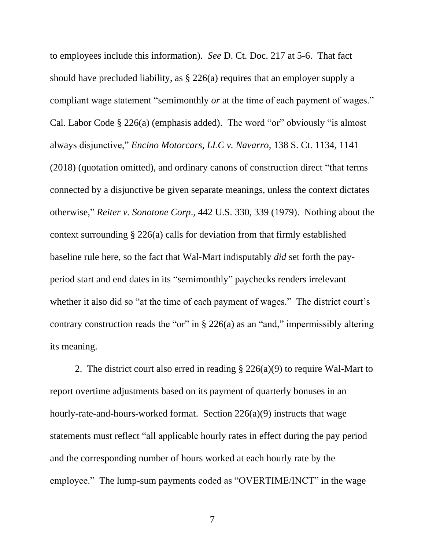<span id="page-14-1"></span><span id="page-14-0"></span>to employees include this information). *See* D. Ct. Doc. 217 at 5-6. That fact should have precluded liability, as § 226(a) requires that an employer supply a compliant wage statement "semimonthly *or* at the time of each payment of wages." Cal. Labor Code § 226(a) (emphasis added). The word "or" obviously "is almost always disjunctive," *Encino Motorcars, LLC v. Navarro*, 138 S. Ct. 1134, 1141 (2018) (quotation omitted), and ordinary canons of construction direct "that terms connected by a disjunctive be given separate meanings, unless the context dictates otherwise," *Reiter v. Sonotone Corp*., 442 U.S. 330, 339 (1979). Nothing about the context surrounding § 226(a) calls for deviation from that firmly established baseline rule here, so the fact that Wal-Mart indisputably *did* set forth the payperiod start and end dates in its "semimonthly" paychecks renders irrelevant whether it also did so "at the time of each payment of wages." The district court's contrary construction reads the "or" in  $\S 226(a)$  as an "and," impermissibly altering its meaning.

2. The district court also erred in reading § 226(a)(9) to require Wal-Mart to report overtime adjustments based on its payment of quarterly bonuses in an hourly-rate-and-hours-worked format. Section 226(a)(9) instructs that wage statements must reflect "all applicable hourly rates in effect during the pay period and the corresponding number of hours worked at each hourly rate by the employee." The lump-sum payments coded as "OVERTIME/INCT" in the wage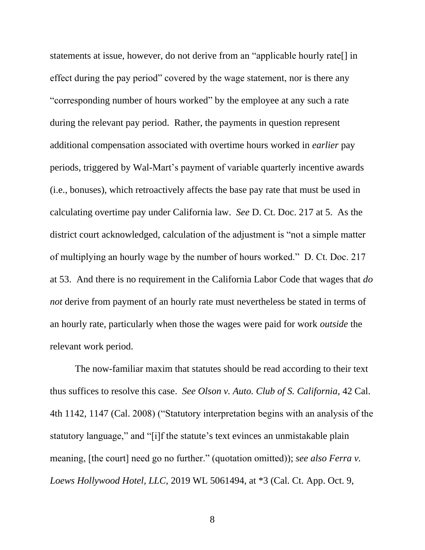statements at issue, however, do not derive from an "applicable hourly rate[] in effect during the pay period" covered by the wage statement, nor is there any "corresponding number of hours worked" by the employee at any such a rate during the relevant pay period. Rather, the payments in question represent additional compensation associated with overtime hours worked in *earlier* pay periods, triggered by Wal-Mart's payment of variable quarterly incentive awards (i.e., bonuses), which retroactively affects the base pay rate that must be used in calculating overtime pay under California law. *See* D. Ct. Doc. 217 at 5. As the district court acknowledged, calculation of the adjustment is "not a simple matter of multiplying an hourly wage by the number of hours worked." D. Ct. Doc. 217 at 53. And there is no requirement in the California Labor Code that wages that *do not* derive from payment of an hourly rate must nevertheless be stated in terms of an hourly rate, particularly when those the wages were paid for work *outside* the relevant work period.

<span id="page-15-1"></span><span id="page-15-0"></span>The now-familiar maxim that statutes should be read according to their text thus suffices to resolve this case. *See Olson v. Auto. Club of S. California*, 42 Cal. 4th 1142, 1147 (Cal. 2008) ("Statutory interpretation begins with an analysis of the statutory language," and "[i]f the statute's text evinces an unmistakable plain meaning, [the court] need go no further." (quotation omitted)); *see also Ferra v. Loews Hollywood Hotel, LLC*, 2019 WL 5061494, at \*3 (Cal. Ct. App. Oct. 9,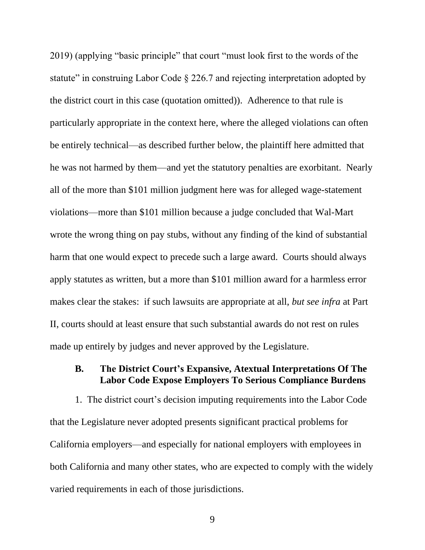2019) (applying "basic principle" that court "must look first to the words of the statute" in construing Labor Code  $\S 226.7$  and rejecting interpretation adopted by the district court in this case (quotation omitted)). Adherence to that rule is particularly appropriate in the context here, where the alleged violations can often be entirely technical—as described further below, the plaintiff here admitted that he was not harmed by them—and yet the statutory penalties are exorbitant. Nearly all of the more than \$101 million judgment here was for alleged wage-statement violations—more than \$101 million because a judge concluded that Wal-Mart wrote the wrong thing on pay stubs, without any finding of the kind of substantial harm that one would expect to precede such a large award. Courts should always apply statutes as written, but a more than \$101 million award for a harmless error makes clear the stakes: if such lawsuits are appropriate at all, *but see infra* at Part II, courts should at least ensure that such substantial awards do not rest on rules made up entirely by judges and never approved by the Legislature.

#### <span id="page-16-0"></span>**B. The District Court's Expansive, Atextual Interpretations Of The Labor Code Expose Employers To Serious Compliance Burdens**

1. The district court's decision imputing requirements into the Labor Code that the Legislature never adopted presents significant practical problems for California employers—and especially for national employers with employees in both California and many other states, who are expected to comply with the widely varied requirements in each of those jurisdictions.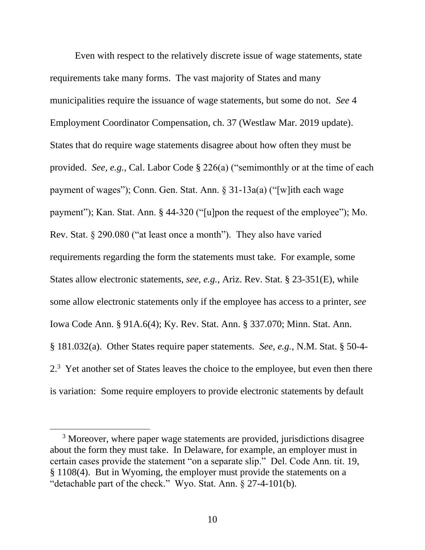<span id="page-17-7"></span><span id="page-17-4"></span><span id="page-17-1"></span>Even with respect to the relatively discrete issue of wage statements, state requirements take many forms. The vast majority of States and many municipalities require the issuance of wage statements, but some do not. *See* 4 Employment Coordinator Compensation, ch. 37 (Westlaw Mar. 2019 update). States that do require wage statements disagree about how often they must be provided. *See, e.g.*, Cal. Labor Code § 226(a) ("semimonthly or at the time of each payment of wages"); Conn. Gen. Stat. Ann. § 31-13a(a) ("[w]ith each wage payment"); Kan. Stat. Ann. § 44-320 ("[u]pon the request of the employee"); Mo. Rev. Stat. § 290.080 ("at least once a month"). They also have varied requirements regarding the form the statements must take. For example, some States allow electronic statements, *see, e.g.*, Ariz. Rev. Stat. § 23-351(E), while some allow electronic statements only if the employee has access to a printer, *see*  Iowa Code Ann. § 91A.6(4); Ky. Rev. Stat. Ann. § 337.070; Minn. Stat. Ann. § 181.032(a). Other States require paper statements. *See, e.g.*, N.M. Stat. § 50-4-  $2<sup>3</sup>$  Yet another set of States leaves the choice to the employee, but even then there is variation: Some require employers to provide electronic statements by default

<span id="page-17-9"></span><span id="page-17-8"></span><span id="page-17-6"></span><span id="page-17-5"></span><span id="page-17-3"></span><span id="page-17-2"></span><span id="page-17-0"></span><sup>&</sup>lt;sup>3</sup> Moreover, where paper wage statements are provided, jurisdictions disagree about the form they must take. In Delaware, for example, an employer must in certain cases provide the statement "on a separate slip." Del. Code Ann. tit. 19, § 1108(4). But in Wyoming, the employer must provide the statements on a "detachable part of the check." Wyo. Stat. Ann. § 27-4-101(b).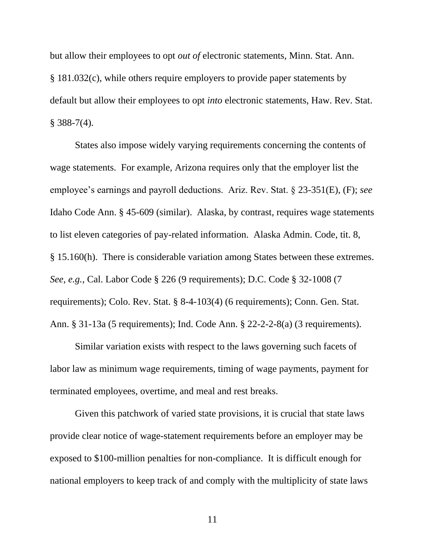but allow their employees to opt *out of* electronic statements, Minn. Stat. Ann. § 181.032(c), while others require employers to provide paper statements by default but allow their employees to opt *into* electronic statements, Haw. Rev. Stat.  $§$  388-7(4).

<span id="page-18-3"></span><span id="page-18-0"></span>States also impose widely varying requirements concerning the contents of wage statements. For example, Arizona requires only that the employer list the employee's earnings and payroll deductions. Ariz. Rev. Stat. § 23-351(E), (F); *see*  Idaho Code Ann. § 45-609 (similar). Alaska, by contrast, requires wage statements to list eleven categories of pay-related information. Alaska Admin. Code, tit. 8, § 15.160(h). There is considerable variation among States between these extremes. *See, e.g.*, Cal. Labor Code § 226 (9 requirements); D.C. Code § 32-1008 (7 requirements); Colo. Rev. Stat. § 8-4-103(4) (6 requirements); Conn. Gen. Stat. Ann. § 31-13a (5 requirements); Ind. Code Ann. § 22-2-2-8(a) (3 requirements).

<span id="page-18-4"></span><span id="page-18-2"></span><span id="page-18-1"></span>Similar variation exists with respect to the laws governing such facets of labor law as minimum wage requirements, timing of wage payments, payment for terminated employees, overtime, and meal and rest breaks.

Given this patchwork of varied state provisions, it is crucial that state laws provide clear notice of wage-statement requirements before an employer may be exposed to \$100-million penalties for non-compliance. It is difficult enough for national employers to keep track of and comply with the multiplicity of state laws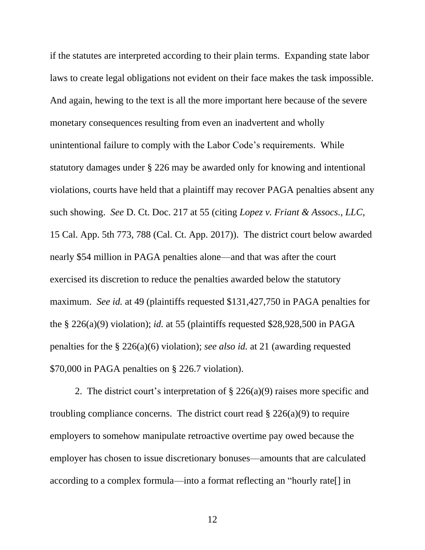if the statutes are interpreted according to their plain terms. Expanding state labor laws to create legal obligations not evident on their face makes the task impossible. And again, hewing to the text is all the more important here because of the severe monetary consequences resulting from even an inadvertent and wholly unintentional failure to comply with the Labor Code's requirements. While statutory damages under § 226 may be awarded only for knowing and intentional violations, courts have held that a plaintiff may recover PAGA penalties absent any such showing. *See* D. Ct. Doc. 217 at 55 (citing *Lopez v. Friant & Assocs., LLC*, 15 Cal. App. 5th 773, 788 (Cal. Ct. App. 2017)). The district court below awarded nearly \$54 million in PAGA penalties alone—and that was after the court exercised its discretion to reduce the penalties awarded below the statutory maximum. *See id.* at 49 (plaintiffs requested \$131,427,750 in PAGA penalties for the § 226(a)(9) violation); *id.* at 55 (plaintiffs requested \$28,928,500 in PAGA penalties for the § 226(a)(6) violation); *see also id.* at 21 (awarding requested \$70,000 in PAGA penalties on § 226.7 violation).

2. The district court's interpretation of § 226(a)(9) raises more specific and troubling compliance concerns. The district court read  $\S 226(a)(9)$  to require employers to somehow manipulate retroactive overtime pay owed because the employer has chosen to issue discretionary bonuses—amounts that are calculated according to a complex formula—into a format reflecting an "hourly rate[] in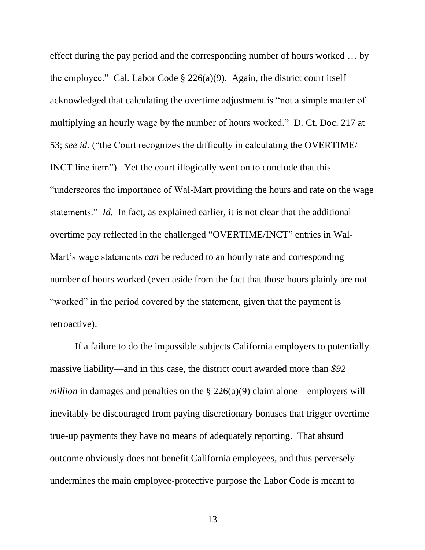effect during the pay period and the corresponding number of hours worked … by the employee." Cal. Labor Code  $\S$  226(a)(9). Again, the district court itself acknowledged that calculating the overtime adjustment is "not a simple matter of multiplying an hourly wage by the number of hours worked." D. Ct. Doc. 217 at 53; *see id.* ("the Court recognizes the difficulty in calculating the OVERTIME/ INCT line item"). Yet the court illogically went on to conclude that this "underscores the importance of Wal-Mart providing the hours and rate on the wage statements." *Id.* In fact, as explained earlier, it is not clear that the additional overtime pay reflected in the challenged "OVERTIME/INCT" entries in Wal-Mart's wage statements *can* be reduced to an hourly rate and corresponding number of hours worked (even aside from the fact that those hours plainly are not "worked" in the period covered by the statement, given that the payment is retroactive).

If a failure to do the impossible subjects California employers to potentially massive liability—and in this case, the district court awarded more than *\$92 million* in damages and penalties on the  $\S$  226(a)(9) claim alone—employers will inevitably be discouraged from paying discretionary bonuses that trigger overtime true-up payments they have no means of adequately reporting. That absurd outcome obviously does not benefit California employees, and thus perversely undermines the main employee-protective purpose the Labor Code is meant to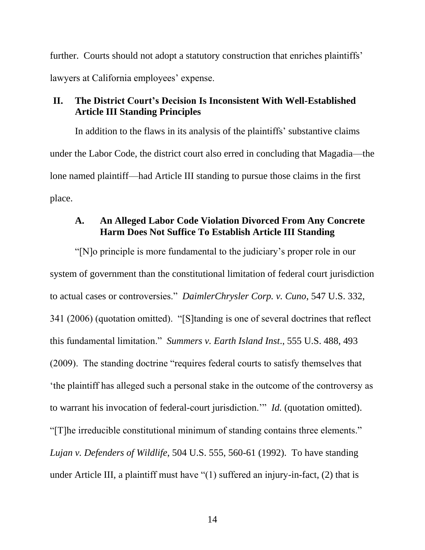further. Courts should not adopt a statutory construction that enriches plaintiffs' lawyers at California employees' expense.

#### <span id="page-21-0"></span>**II. The District Court's Decision Is Inconsistent With Well-Established Article III Standing Principles**

In addition to the flaws in its analysis of the plaintiffs' substantive claims under the Labor Code, the district court also erred in concluding that Magadia—the lone named plaintiff—had Article III standing to pursue those claims in the first place.

#### <span id="page-21-2"></span><span id="page-21-1"></span>**A. An Alleged Labor Code Violation Divorced From Any Concrete Harm Does Not Suffice To Establish Article III Standing**

<span id="page-21-4"></span><span id="page-21-3"></span>"[N]o principle is more fundamental to the judiciary's proper role in our system of government than the constitutional limitation of federal court jurisdiction to actual cases or controversies." *DaimlerChrysler Corp. v. Cuno*, 547 U.S. 332, 341 (2006) (quotation omitted). "[S]tanding is one of several doctrines that reflect this fundamental limitation." *Summers v. Earth Island Inst*., 555 U.S. 488, 493 (2009). The standing doctrine "requires federal courts to satisfy themselves that 'the plaintiff has alleged such a personal stake in the outcome of the controversy as to warrant his invocation of federal-court jurisdiction.'" *Id.* (quotation omitted). "[T]he irreducible constitutional minimum of standing contains three elements." *Lujan v. Defenders of Wildlife*, 504 U.S. 555, 560-61 (1992). To have standing under Article III, a plaintiff must have "(1) suffered an injury-in-fact, (2) that is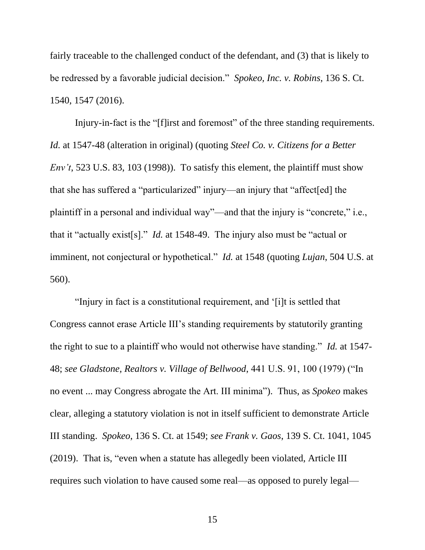<span id="page-22-3"></span>fairly traceable to the challenged conduct of the defendant, and (3) that is likely to be redressed by a favorable judicial decision." *Spokeo, Inc. v. Robins*, 136 S. Ct. 1540, 1547 (2016).

Injury-in-fact is the "[f]irst and foremost" of the three standing requirements. *Id.* at 1547-48 (alteration in original) (quoting *Steel Co. v. Citizens for a Better Env't*, 523 U.S. 83, 103 (1998)). To satisfy this element, the plaintiff must show that she has suffered a "particularized" injury—an injury that "affect[ed] the plaintiff in a personal and individual way"—and that the injury is "concrete," i.e., that it "actually exist[s]." *Id.* at 1548-49. The injury also must be "actual or imminent, not conjectural or hypothetical." *Id.* at 1548 (quoting *Lujan*, 504 U.S. at 560).

<span id="page-22-2"></span><span id="page-22-1"></span><span id="page-22-0"></span> "Injury in fact is a constitutional requirement, and '[i]t is settled that Congress cannot erase Article III's standing requirements by statutorily granting the right to sue to a plaintiff who would not otherwise have standing." *Id.* at 1547- 48; *see Gladstone, Realtors v. Village of Bellwood*, 441 U.S. 91, 100 (1979) ("In no event ... may Congress abrogate the Art. III minima"). Thus, as *Spokeo* makes clear, alleging a statutory violation is not in itself sufficient to demonstrate Article III standing. *Spokeo*, 136 S. Ct. at 1549; *see Frank v. Gaos*, 139 S. Ct. 1041, 1045 (2019). That is, "even when a statute has allegedly been violated, Article III requires such violation to have caused some real—as opposed to purely legal—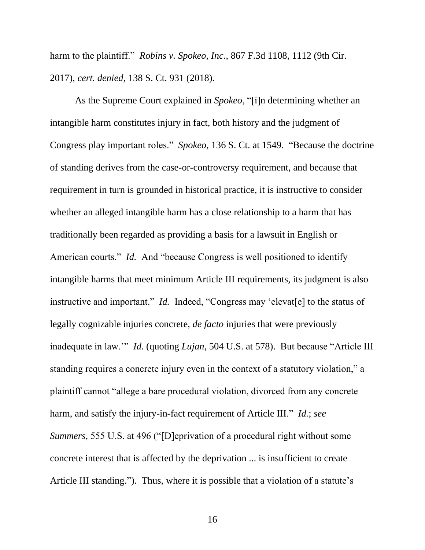<span id="page-23-1"></span>harm to the plaintiff." *Robins v. Spokeo, Inc.*, 867 F.3d 1108, 1112 (9th Cir. 2017), *cert. denied*, 138 S. Ct. 931 (2018).

<span id="page-23-2"></span><span id="page-23-0"></span>As the Supreme Court explained in *Spokeo*, "[i]n determining whether an intangible harm constitutes injury in fact, both history and the judgment of Congress play important roles." *Spokeo*, 136 S. Ct. at 1549. "Because the doctrine of standing derives from the case-or-controversy requirement, and because that requirement in turn is grounded in historical practice, it is instructive to consider whether an alleged intangible harm has a close relationship to a harm that has traditionally been regarded as providing a basis for a lawsuit in English or American courts." *Id.* And "because Congress is well positioned to identify intangible harms that meet minimum Article III requirements, its judgment is also instructive and important." *Id.* Indeed, "Congress may 'elevat[e] to the status of legally cognizable injuries concrete, *de facto* injuries that were previously inadequate in law.'" *Id.* (quoting *Lujan*, 504 U.S. at 578). But because "Article III standing requires a concrete injury even in the context of a statutory violation," a plaintiff cannot "allege a bare procedural violation, divorced from any concrete harm, and satisfy the injury-in-fact requirement of Article III." *Id.*; *see Summers*, 555 U.S. at 496 ("[D]eprivation of a procedural right without some concrete interest that is affected by the deprivation ... is insufficient to create Article III standing."). Thus, where it is possible that a violation of a statute's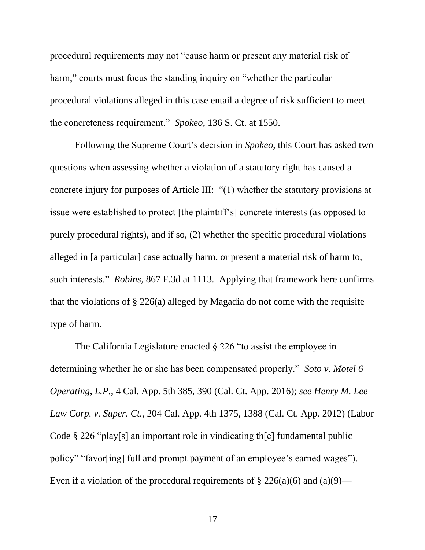procedural requirements may not "cause harm or present any material risk of harm," courts must focus the standing inquiry on "whether the particular procedural violations alleged in this case entail a degree of risk sufficient to meet the concreteness requirement." *Spokeo*, 136 S. Ct. at 1550.

Following the Supreme Court's decision in *Spokeo*, this Court has asked two questions when assessing whether a violation of a statutory right has caused a concrete injury for purposes of Article III: "(1) whether the statutory provisions at issue were established to protect [the plaintiff's] concrete interests (as opposed to purely procedural rights), and if so, (2) whether the specific procedural violations alleged in [a particular] case actually harm, or present a material risk of harm to, such interests." *Robins*, 867 F.3d at 1113. Applying that framework here confirms that the violations of  $\S 226(a)$  alleged by Magadia do not come with the requisite type of harm.

<span id="page-24-2"></span><span id="page-24-1"></span><span id="page-24-0"></span>The California Legislature enacted § 226 "to assist the employee in determining whether he or she has been compensated properly." *Soto v. Motel 6 Operating, L.P.*, 4 Cal. App. 5th 385, 390 (Cal. Ct. App. 2016); *see Henry M. Lee Law Corp. v. Super. Ct.*, 204 Cal. App. 4th 1375, 1388 (Cal. Ct. App. 2012) (Labor Code § 226 "play[s] an important role in vindicating th[e] fundamental public policy" "favor[ing] full and prompt payment of an employee's earned wages"). Even if a violation of the procedural requirements of  $\S 226(a)(6)$  and  $(a)(9)$ —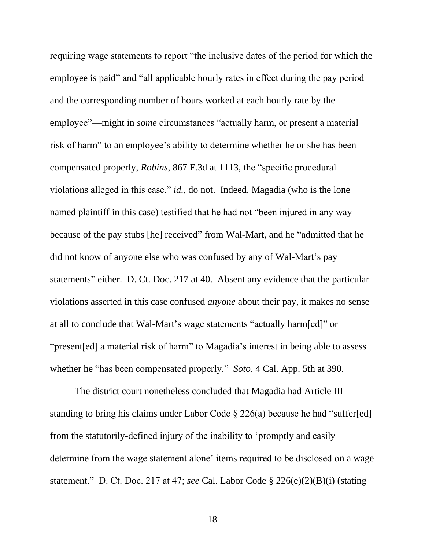<span id="page-25-0"></span>requiring wage statements to report "the inclusive dates of the period for which the employee is paid" and "all applicable hourly rates in effect during the pay period and the corresponding number of hours worked at each hourly rate by the employee"—might in *some* circumstances "actually harm, or present a material risk of harm" to an employee's ability to determine whether he or she has been compensated properly, *Robins*, 867 F.3d at 1113, the "specific procedural violations alleged in this case," *id.*, do not. Indeed, Magadia (who is the lone named plaintiff in this case) testified that he had not "been injured in any way because of the pay stubs [he] received" from Wal-Mart, and he "admitted that he did not know of anyone else who was confused by any of Wal-Mart's pay statements" either. D. Ct. Doc. 217 at 40. Absent any evidence that the particular violations asserted in this case confused *anyone* about their pay, it makes no sense at all to conclude that Wal-Mart's wage statements "actually harm[ed]" or "present[ed] a material risk of harm" to Magadia's interest in being able to assess whether he "has been compensated properly." *Soto*, 4 Cal. App. 5th at 390.

<span id="page-25-1"></span>The district court nonetheless concluded that Magadia had Article III standing to bring his claims under Labor Code  $\S 226(a)$  because he had "suffer[ed] from the statutorily-defined injury of the inability to 'promptly and easily determine from the wage statement alone' items required to be disclosed on a wage statement." D. Ct. Doc. 217 at 47; *see* Cal. Labor Code § 226(e)(2)(B)(i) (stating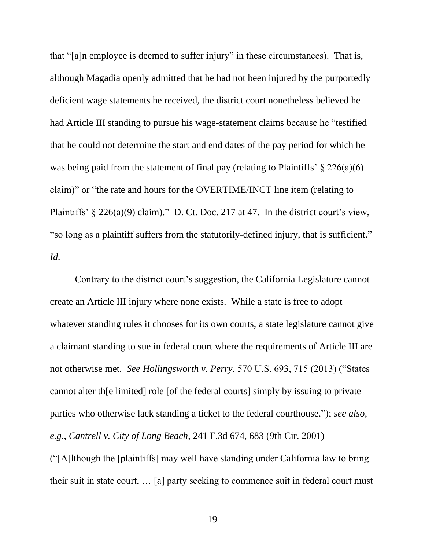that "[a]n employee is deemed to suffer injury" in these circumstances). That is, although Magadia openly admitted that he had not been injured by the purportedly deficient wage statements he received, the district court nonetheless believed he had Article III standing to pursue his wage-statement claims because he "testified that he could not determine the start and end dates of the pay period for which he was being paid from the statement of final pay (relating to Plaintiffs'  $\S$  226(a)(6) claim)" or "the rate and hours for the OVERTIME/INCT line item (relating to Plaintiffs' § 226(a)(9) claim)." D. Ct. Doc. 217 at 47. In the district court's view, "so long as a plaintiff suffers from the statutorily-defined injury, that is sufficient." *Id.*

<span id="page-26-1"></span>Contrary to the district court's suggestion, the California Legislature cannot create an Article III injury where none exists. While a state is free to adopt whatever standing rules it chooses for its own courts, a state legislature cannot give a claimant standing to sue in federal court where the requirements of Article III are not otherwise met. *See Hollingsworth v. Perry*, 570 U.S. 693, 715 (2013) ("States cannot alter th[e limited] role [of the federal courts] simply by issuing to private parties who otherwise lack standing a ticket to the federal courthouse."); *see also, e.g.*, *Cantrell v. City of Long Beach*, 241 F.3d 674, 683 (9th Cir. 2001) ("[A]lthough the [plaintiffs] may well have standing under California law to bring

<span id="page-26-0"></span>their suit in state court, … [a] party seeking to commence suit in federal court must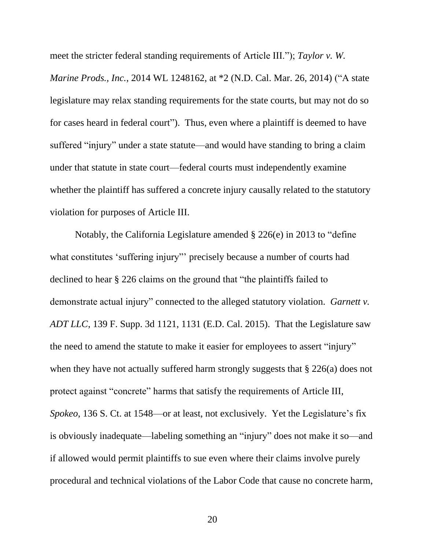meet the stricter federal standing requirements of Article III."); *Taylor v. W.* 

*Marine Prods., Inc.*, 2014 WL 1248162, at \*2 (N.D. Cal. Mar. 26, 2014) ("A state legislature may relax standing requirements for the state courts, but may not do so for cases heard in federal court"). Thus, even where a plaintiff is deemed to have suffered "injury" under a state statute—and would have standing to bring a claim under that statute in state court—federal courts must independently examine whether the plaintiff has suffered a concrete injury causally related to the statutory violation for purposes of Article III.

<span id="page-27-0"></span>Notably, the California Legislature amended § 226(e) in 2013 to "define what constitutes 'suffering injury"' precisely because a number of courts had declined to hear § 226 claims on the ground that "the plaintiffs failed to demonstrate actual injury" connected to the alleged statutory violation. *Garnett v. ADT LLC*, 139 F. Supp. 3d 1121, 1131 (E.D. Cal. 2015). That the Legislature saw the need to amend the statute to make it easier for employees to assert "injury" when they have not actually suffered harm strongly suggests that  $\S 226(a)$  does not protect against "concrete" harms that satisfy the requirements of Article III, *Spokeo*, 136 S. Ct. at 1548—or at least, not exclusively. Yet the Legislature's fix is obviously inadequate—labeling something an "injury" does not make it so—and if allowed would permit plaintiffs to sue even where their claims involve purely procedural and technical violations of the Labor Code that cause no concrete harm,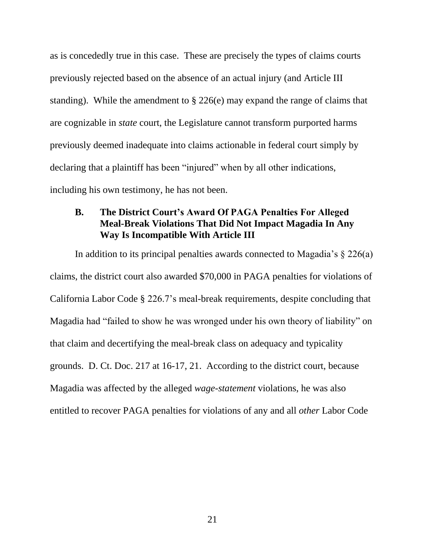as is concededly true in this case. These are precisely the types of claims courts previously rejected based on the absence of an actual injury (and Article III standing). While the amendment to § 226(e) may expand the range of claims that are cognizable in *state* court, the Legislature cannot transform purported harms previously deemed inadequate into claims actionable in federal court simply by declaring that a plaintiff has been "injured" when by all other indications, including his own testimony, he has not been.

#### <span id="page-28-0"></span>**B. The District Court's Award Of PAGA Penalties For Alleged Meal-Break Violations That Did Not Impact Magadia In Any Way Is Incompatible With Article III**

In addition to its principal penalties awards connected to Magadia's  $\S 226(a)$ claims, the district court also awarded \$70,000 in PAGA penalties for violations of California Labor Code § 226.7's meal-break requirements, despite concluding that Magadia had "failed to show he was wronged under his own theory of liability" on that claim and decertifying the meal-break class on adequacy and typicality grounds. D. Ct. Doc. 217 at 16-17, 21. According to the district court, because Magadia was affected by the alleged *wage-statement* violations, he was also entitled to recover PAGA penalties for violations of any and all *other* Labor Code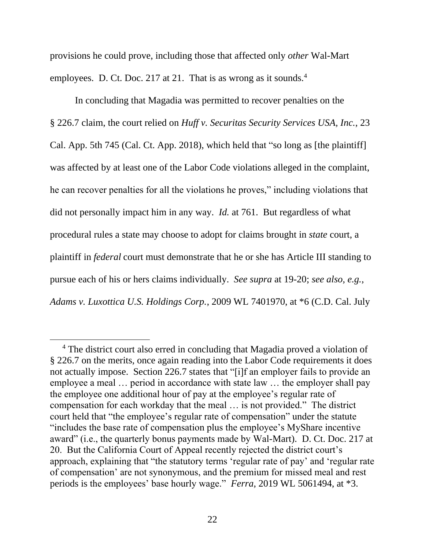provisions he could prove, including those that affected only *other* Wal-Mart employees. D. Ct. Doc. 217 at 21. That is as wrong as it sounds.<sup>4</sup>

<span id="page-29-2"></span>In concluding that Magadia was permitted to recover penalties on the § 226.7 claim, the court relied on *Huff v. Securitas Security Services USA, Inc.*, 23 Cal. App. 5th 745 (Cal. Ct. App. 2018), which held that "so long as [the plaintiff] was affected by at least one of the Labor Code violations alleged in the complaint, he can recover penalties for all the violations he proves," including violations that did not personally impact him in any way. *Id.* at 761. But regardless of what procedural rules a state may choose to adopt for claims brought in *state* court, a plaintiff in *federal* court must demonstrate that he or she has Article III standing to pursue each of his or hers claims individually. *See supra* at 19-20; *see also, e.g.*, *Adams v. Luxottica U.S. Holdings Corp.*, 2009 WL 7401970, at \*6 (C.D. Cal. July

<span id="page-29-1"></span><span id="page-29-0"></span><sup>&</sup>lt;sup>4</sup> The district court also erred in concluding that Magadia proved a violation of § 226.7 on the merits, once again reading into the Labor Code requirements it does not actually impose. Section 226.7 states that "[i]f an employer fails to provide an employee a meal … period in accordance with state law … the employer shall pay the employee one additional hour of pay at the employee's regular rate of compensation for each workday that the meal … is not provided." The district court held that "the employee's regular rate of compensation" under the statute "includes the base rate of compensation plus the employee's MyShare incentive award" (i.e., the quarterly bonus payments made by Wal-Mart). D. Ct. Doc. 217 at 20. But the California Court of Appeal recently rejected the district court's approach, explaining that "the statutory terms 'regular rate of pay' and 'regular rate of compensation' are not synonymous, and the premium for missed meal and rest periods is the employees' base hourly wage." *Ferra*, 2019 WL 5061494, at \*3.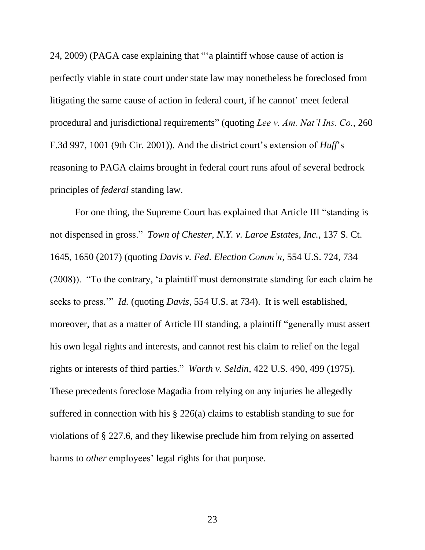24, 2009) (PAGA case explaining that "'a plaintiff whose cause of action is perfectly viable in state court under state law may nonetheless be foreclosed from litigating the same cause of action in federal court, if he cannot' meet federal procedural and jurisdictional requirements" (quoting *Lee v. Am. Nat'l Ins. Co.*, 260 F.3d 997, 1001 (9th Cir. 2001)). And the district court's extension of *Huff*'s reasoning to PAGA claims brought in federal court runs afoul of several bedrock principles of *federal* standing law.

<span id="page-30-1"></span><span id="page-30-0"></span>For one thing, the Supreme Court has explained that Article III "standing is not dispensed in gross." *Town of Chester, N.Y. v. Laroe Estates, Inc.*, 137 S. Ct. 1645, 1650 (2017) (quoting *Davis v. Fed. Election Comm'n*, 554 U.S. 724, 734 (2008)). "To the contrary, 'a plaintiff must demonstrate standing for each claim he seeks to press.'" *Id.* (quoting *Davis*, 554 U.S. at 734). It is well established, moreover, that as a matter of Article III standing, a plaintiff "generally must assert his own legal rights and interests, and cannot rest his claim to relief on the legal rights or interests of third parties." *Warth v. Seldin*, 422 U.S. 490, 499 (1975). These precedents foreclose Magadia from relying on any injuries he allegedly suffered in connection with his § 226(a) claims to establish standing to sue for violations of § 227.6, and they likewise preclude him from relying on asserted harms to *other* employees' legal rights for that purpose.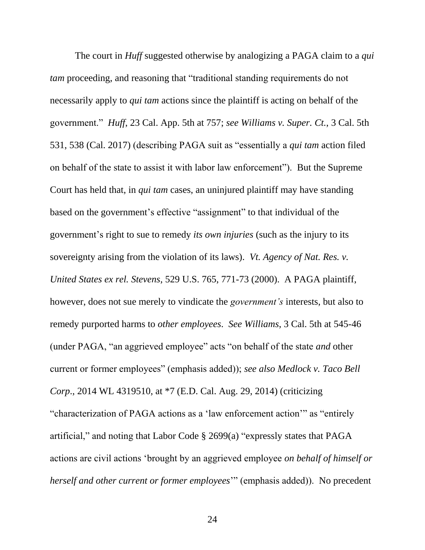<span id="page-31-3"></span><span id="page-31-2"></span><span id="page-31-1"></span><span id="page-31-0"></span>The court in *Huff* suggested otherwise by analogizing a PAGA claim to a *qui tam* proceeding, and reasoning that "traditional standing requirements do not necessarily apply to *qui tam* actions since the plaintiff is acting on behalf of the government." *Huff*, 23 Cal. App. 5th at 757; *see Williams v. Super. Ct.*, 3 Cal. 5th 531, 538 (Cal. 2017) (describing PAGA suit as "essentially a *qui tam* action filed on behalf of the state to assist it with labor law enforcement"). But the Supreme Court has held that, in *qui tam* cases, an uninjured plaintiff may have standing based on the government's effective "assignment" to that individual of the government's right to sue to remedy *its own injuries* (such as the injury to its sovereignty arising from the violation of its laws). *Vt. Agency of Nat. Res. v. United States ex rel. Stevens*, 529 U.S. 765, 771-73 (2000). A PAGA plaintiff, however, does not sue merely to vindicate the *government's* interests, but also to remedy purported harms to *other employees*. *See Williams*, 3 Cal. 5th at 545-46 (under PAGA, "an aggrieved employee" acts "on behalf of the state *and* other current or former employees" (emphasis added)); *see also Medlock v. Taco Bell Corp*., 2014 WL 4319510, at \*7 (E.D. Cal. Aug. 29, 2014) (criticizing "characterization of PAGA actions as a 'law enforcement action'" as "entirely artificial," and noting that Labor Code § 2699(a) "expressly states that PAGA actions are civil actions 'brought by an aggrieved employee *on behalf of himself or herself and other current or former employees*'" (emphasis added)). No precedent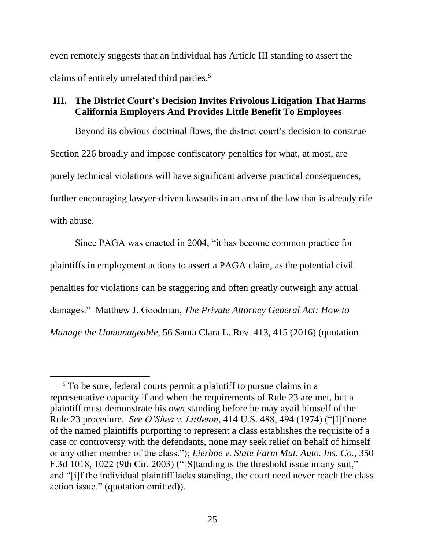even remotely suggests that an individual has Article III standing to assert the claims of entirely unrelated third parties.<sup>5</sup>

#### <span id="page-32-0"></span>**III. The District Court's Decision Invites Frivolous Litigation That Harms California Employers And Provides Little Benefit To Employees**

Beyond its obvious doctrinal flaws, the district court's decision to construe Section 226 broadly and impose confiscatory penalties for what, at most, are purely technical violations will have significant adverse practical consequences, further encouraging lawyer-driven lawsuits in an area of the law that is already rife with abuse.

Since PAGA was enacted in 2004, "it has become common practice for plaintiffs in employment actions to assert a PAGA claim, as the potential civil penalties for violations can be staggering and often greatly outweigh any actual damages." Matthew J. Goodman, *The Private Attorney General Act: How to Manage the Unmanageable*, 56 Santa Clara L. Rev. 413, 415 (2016) (quotation

<span id="page-32-1"></span> $5$  To be sure, federal courts permit a plaintiff to pursue claims in a representative capacity if and when the requirements of Rule 23 are met, but a plaintiff must demonstrate his *own* standing before he may avail himself of the Rule 23 procedure. *See O'Shea v. Littleton*, 414 U.S. 488, 494 (1974) ("[I]f none of the named plaintiffs purporting to represent a class establishes the requisite of a case or controversy with the defendants, none may seek relief on behalf of himself or any other member of the class."); *Lierboe v. State Farm Mut. Auto. Ins. Co.*, 350 F.3d 1018, 1022 (9th Cir. 2003) ("[S]tanding is the threshold issue in any suit," and "[i]f the individual plaintiff lacks standing, the court need never reach the class action issue." (quotation omitted)).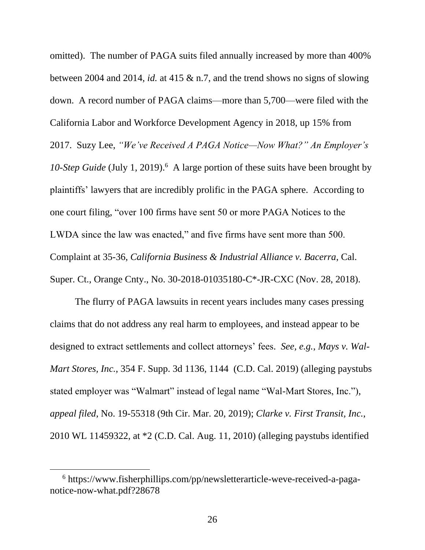<span id="page-33-2"></span>omitted). The number of PAGA suits filed annually increased by more than 400% between 2004 and 2014, *id.* at 415 & n.7, and the trend shows no signs of slowing down. A record number of PAGA claims—more than 5,700—were filed with the California Labor and Workforce Development Agency in 2018, up 15% from 2017. Suzy Lee, *"We've Received A PAGA Notice—Now What?" An Employer's*  10-Step Guide (July 1, 2019).<sup>6</sup> A large portion of these suits have been brought by plaintiffs' lawyers that are incredibly prolific in the PAGA sphere. According to one court filing, "over 100 firms have sent 50 or more PAGA Notices to the LWDA since the law was enacted," and five firms have sent more than 500. Complaint at 35-36, *California Business & Industrial Alliance v. Bacerra*, Cal. Super. Ct., Orange Cnty., No. 30-2018-01035180-C\*-JR-CXC (Nov. 28, 2018).

<span id="page-33-1"></span>The flurry of PAGA lawsuits in recent years includes many cases pressing claims that do not address any real harm to employees, and instead appear to be designed to extract settlements and collect attorneys' fees. *See, e.g.*, *Mays v. Wal-Mart Stores, Inc.*, 354 F. Supp. 3d 1136, 1144 (C.D. Cal. 2019) (alleging paystubs stated employer was "Walmart" instead of legal name "Wal-Mart Stores, Inc."), *appeal filed*, No. 19-55318 (9th Cir. Mar. 20, 2019); *Clarke v. First Transit, Inc.*, 2010 WL 11459322, at \*2 (C.D. Cal. Aug. 11, 2010) (alleging paystubs identified

<span id="page-33-0"></span><sup>6</sup> https://www.fisherphillips.com/pp/newsletterarticle-weve-received-a-paganotice-now-what.pdf?28678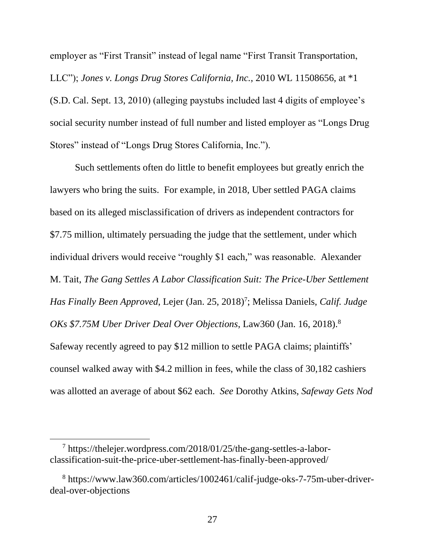employer as "First Transit" instead of legal name "First Transit Transportation, LLC"); *Jones v. Longs Drug Stores California, Inc.*, 2010 WL 11508656, at \*1 (S.D. Cal. Sept. 13, 2010) (alleging paystubs included last 4 digits of employee's social security number instead of full number and listed employer as "Longs Drug Stores" instead of "Longs Drug Stores California, Inc.").

Such settlements often do little to benefit employees but greatly enrich the lawyers who bring the suits. For example, in 2018, Uber settled PAGA claims based on its alleged misclassification of drivers as independent contractors for \$7.75 million, ultimately persuading the judge that the settlement, under which individual drivers would receive "roughly \$1 each," was reasonable. Alexander M. Tait, *The Gang Settles A Labor Classification Suit: The Price-Uber Settlement*  Has Finally Been Approved, Lejer (Jan. 25, 2018)<sup>7</sup>; Melissa Daniels, Calif. Judge *OKs \$7.75M Uber Driver Deal Over Objections*, Law360 (Jan. 16, 2018).<sup>8</sup> Safeway recently agreed to pay \$12 million to settle PAGA claims; plaintiffs' counsel walked away with \$4.2 million in fees, while the class of 30,182 cashiers was allotted an average of about \$62 each. *See* Dorothy Atkins, *Safeway Gets Nod* 

<sup>7</sup> https://thelejer.wordpress.com/2018/01/25/the-gang-settles-a-laborclassification-suit-the-price-uber-settlement-has-finally-been-approved/

<span id="page-34-0"></span><sup>8</sup> https://www.law360.com/articles/1002461/calif-judge-oks-7-75m-uber-driverdeal-over-objections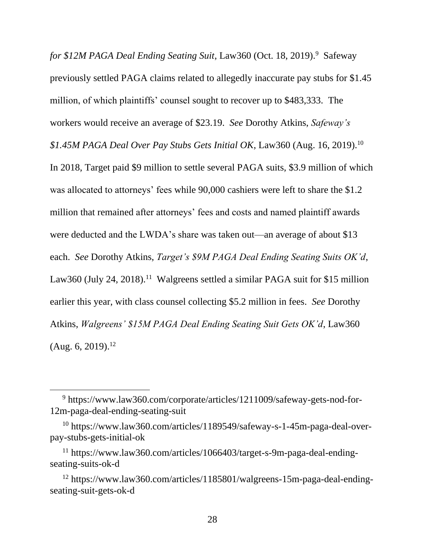for \$12M PAGA Deal Ending Seating Suit, Law360 (Oct. 18, 2019).<sup>9</sup> Safeway previously settled PAGA claims related to allegedly inaccurate pay stubs for \$1.45 million, of which plaintiffs' counsel sought to recover up to \$483,333. The workers would receive an average of \$23.19. *See* Dorothy Atkins, *Safeway's \$1.45M PAGA Deal Over Pay Stubs Gets Initial OK*, Law360 (Aug. 16, 2019).<sup>10</sup> In 2018, Target paid \$9 million to settle several PAGA suits, \$3.9 million of which was allocated to attorneys' fees while 90,000 cashiers were left to share the \$1.2 million that remained after attorneys' fees and costs and named plaintiff awards were deducted and the LWDA's share was taken out—an average of about \$13 each. *See* Dorothy Atkins, *Target's \$9M PAGA Deal Ending Seating Suits OK'd*, Law360 (July 24, 2018).<sup>11</sup> Walgreens settled a similar PAGA suit for \$15 million earlier this year, with class counsel collecting \$5.2 million in fees. *See* Dorothy Atkins, *Walgreens' \$15M PAGA Deal Ending Seating Suit Gets OK'd*, Law360  $(Aug. 6, 2019).<sup>12</sup>$ 

<span id="page-35-0"></span><sup>9</sup> https://www.law360.com/corporate/articles/1211009/safeway-gets-nod-for-12m-paga-deal-ending-seating-suit

<span id="page-35-1"></span><sup>10</sup> https://www.law360.com/articles/1189549/safeway-s-1-45m-paga-deal-overpay-stubs-gets-initial-ok

<span id="page-35-2"></span><sup>11</sup> https://www.law360.com/articles/1066403/target-s-9m-paga-deal-endingseating-suits-ok-d

<span id="page-35-3"></span><sup>12</sup> [https://www.law360.com/articles/1185801/walgreens-15m-paga-deal-ending](https://www.law360.com/articles/1185801/walgreens-15m-paga-deal-ending-seating-suit-gets-ok-d)[seating-suit-gets-ok-d](https://www.law360.com/articles/1185801/walgreens-15m-paga-deal-ending-seating-suit-gets-ok-d)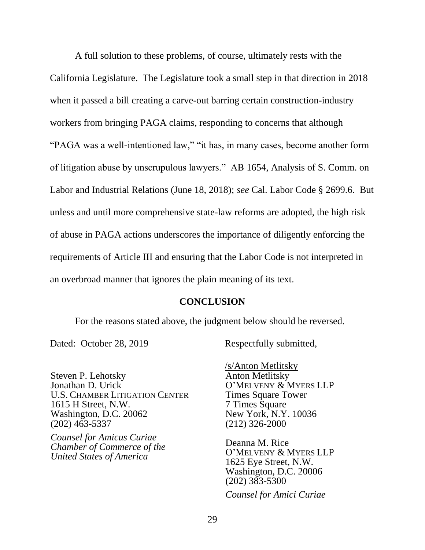A full solution to these problems, of course, ultimately rests with the California Legislature. The Legislature took a small step in that direction in 2018 when it passed a bill creating a carve-out barring certain construction-industry workers from bringing PAGA claims, responding to concerns that although "PAGA was a well-intentioned law," "it has, in many cases, become another form of litigation abuse by unscrupulous lawyers." AB 1654, Analysis of S. Comm. on Labor and Industrial Relations (June 18, 2018); *see* Cal. Labor Code § 2699.6. But unless and until more comprehensive state-law reforms are adopted, the high risk of abuse in PAGA actions underscores the importance of diligently enforcing the requirements of Article III and ensuring that the Labor Code is not interpreted in an overbroad manner that ignores the plain meaning of its text.

#### <span id="page-36-1"></span>**CONCLUSION**

<span id="page-36-0"></span>For the reasons stated above, the judgment below should be reversed.

Steven P. Lehotsky Jonathan D. Urick U.S. CHAMBER LITIGATION CENTER 1615 H Street, N.W. Washington, D.C. 20062 (202) 463-5337

*Counsel for Amicus Curiae Chamber of Commerce of the United States of America*

Dated: October 28, 2019 Respectfully submitted,

/s/Anton Metlitsky Anton Metlitsky O'MELVENY & MYERS LLP Times Square Tower 7 Times Square New York, N.Y. 10036 (212) 326-2000

Deanna M. Rice O'MELVENY & MYERS LLP 1625 Eye Street, N.W. Washington, D.C. 20006 (202) 383-5300

*Counsel for Amici Curiae*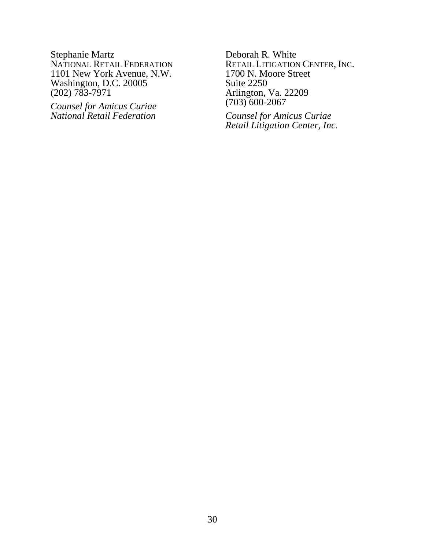Stephanie Martz NATIONAL RETAIL FEDERATION 1101 New York Avenue, N.W. Washington, D.C. 20005 (202) 783-7971

*Counsel for Amicus Curiae National Retail Federation*

Deborah R. White RETAIL LITIGATION CENTER, INC. 1700 N. Moore Street Suite 2250 Arlington, Va. 22209 (703) 600-2067

*Counsel for Amicus Curiae Retail Litigation Center, Inc.*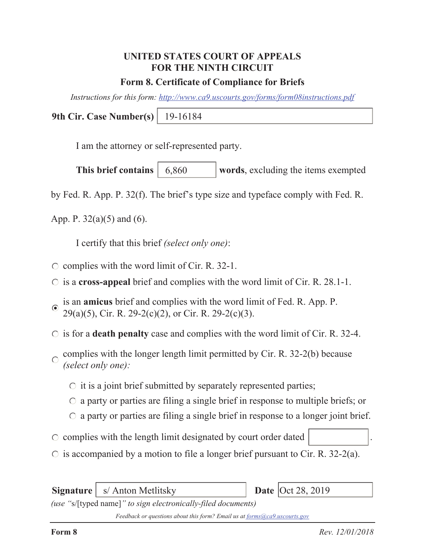# **UNITED STATES COURT OF APPEALS FOR THE NINTH CIRCUIT**

#### **Form 8. Certificate of Compliance for Briefs**

*Instructions for this form: http://www.ca9.uscourts.gov/forms/form08instructions.pdf*

**9th Cir. Case Number(s)** 19-16184

I am the attorney or self-represented party.

**This brief contains** | 6,860 words, excluding the items exempted 6,860

by Fed. R. App. P. 32(f). The brief's type size and typeface comply with Fed. R.

App. P.  $32(a)(5)$  and  $(6)$ .

I certify that this brief *(select only one)*:

- $\circ$  complies with the word limit of Cir. R. 32-1.
- is a **cross-appeal** brief and complies with the word limit of Cir. R. 28.1-1.
- is an **amicus** brief and complies with the word limit of Fed. R. App. P.  $\odot$ 29(a)(5), Cir. R. 29-2(c)(2), or Cir. R. 29-2(c)(3).
- is for a **death penalty** case and complies with the word limit of Cir. R. 32-4.
- complies with the longer length limit permitted by Cir. R. 32-2(b) because  $\bigcap$ *(select only one):*
	- $\circ$  it is a joint brief submitted by separately represented parties;
	- $\circ$  a party or parties are filing a single brief in response to multiple briefs; or
	- $\circ$  a party or parties are filing a single brief in response to a longer joint brief.
- $\circ$  complies with the length limit designated by court order dated
- $\circ$  is accompanied by a motion to file a longer brief pursuant to Cir. R. 32-2(a).

**Signature** | s/ Anton Metlitsky

Date  $\vert$ Oct 28, 2019

*(use "*s/[typed name]*" to sign electronically-filed documents)*

*Feedback or questions about this form? Email us at forms@ca9.uscourts.gov*